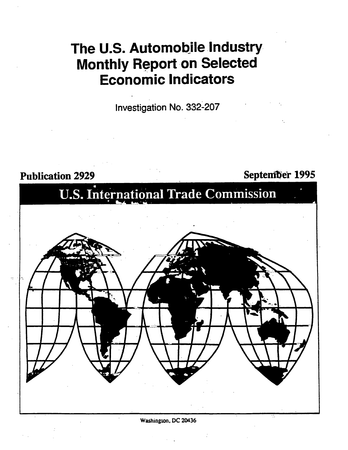# The U.S. Automobile Industry **Monthly Report on Selected Economic Indicators**

Investigation No. 332-207



Washington, DC 20436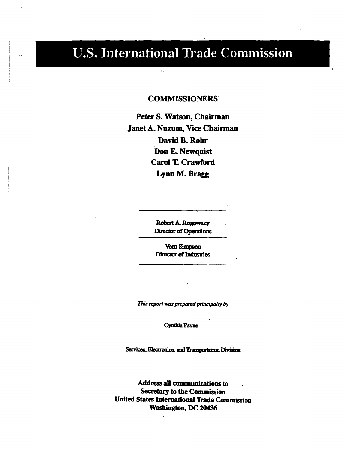# U.S. International Trade Commission

 $\epsilon_{\perp}$ 

### **COMMISSIONERS**

Peter S. Watson, Chairman Janet A. Nuzum, Vice Chairman David B. Rohr Don E. Newquist Carol T. Crawford Lynn M. Bragg

> Robert A Rogowsky Director of Operations

\\:m.Simpson Director of Industries

*This report was prepared principally by* 

**Cynthia Payne** 

Services, Electronics, and Transportation Division

Address all communications to Secretary to the Commission United States International Trade Commission Washington, DC 20436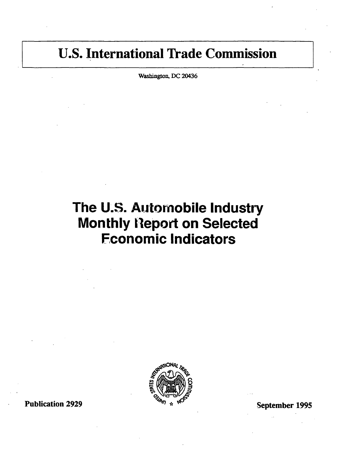# U.S. International Trade Commission

Washington, DC 20436

# The U.S. Automobile Industry **Monthly Report on Selected Fconomic Indicators**

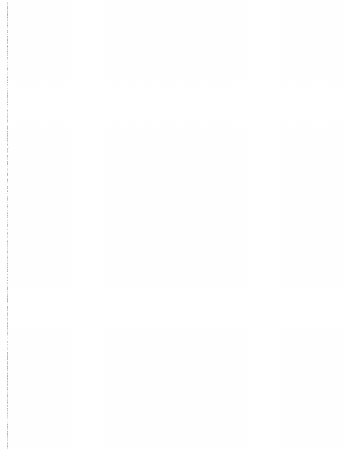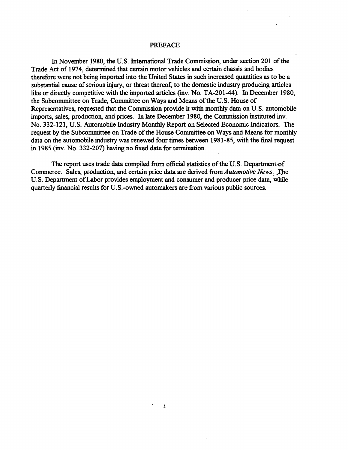#### PREFACE

In November 1980, the U.S. International Trade Commission, under section 201 of the Trade Act of 1974, determined that certain motor vehicles and certain chassis and bodies therefore were not being imported into the United States in such increased quantities as to be a substantial cause of serious injury, or threat thereof, to the domestic industry producing articles like or directly competitive with the imported articles (inv. No. TA-201-44). In December 1980, the Subcommittee on Trade, Committee on Ways and Means of the U.S. House of Representatives, requested that the Commission provide it with monthly data on U.S. automobile imports, sales, production, and prices. In late December 1980, the Commission instituted inv. No. 332-121, U.S. Automobile Industry Monthly Report on Selected Economic Indicators. The request by the Subcommittee on Trade of the House Committee on Ways and Means for monthly data on the automobile industry was renewed four times between 1981-85, with the final request in 1985 (inv. No. 332-207) having no fixed date for termination.

The report uses trade data compiled from official statistics of the U.S. Department-of Commerce. Sales, production, and certain price data are derived from *Automotive News.* The U.S. Department of Labor provides employment and consumer and producer price data, while quarterly financial results for U.S.-owned automakers are from various public sources.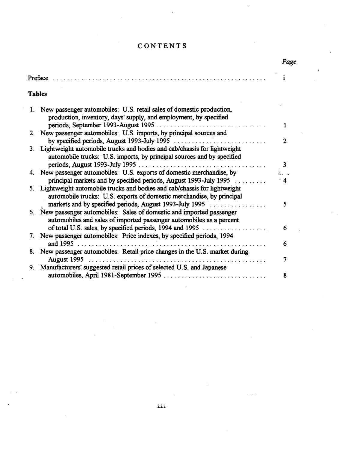## CONTENTS

*Page* 

### Tables

| 1. New passenger automobiles: U.S. retail sales of domestic production,<br>production, inventory, days' supply, and employment, by specified<br>periods, September 1993-August 1995                             | ı            |
|-----------------------------------------------------------------------------------------------------------------------------------------------------------------------------------------------------------------|--------------|
| 2. New passenger automobiles: U.S. imports, by principal sources and                                                                                                                                            |              |
| 3. Lightweight automobile trucks and bodies and cab/chassis for lightweight<br>automobile trucks: U.S. imports, by principal sources and by specified                                                           |              |
|                                                                                                                                                                                                                 | $\mathbf{3}$ |
| 4. New passenger automobiles: U.S. exports of domestic merchandise, by<br>principal markets and by specified periods, August 1993-July 1995                                                                     | 4            |
| 5. Lightweight automobile trucks and bodies and cab/chassis for lightweight<br>automobile trucks: U.S. exports of domestic merchandise, by principal<br>markets and by specified periods, August 1993-July 1995 | 5            |
| 6. New passenger automobiles: Sales of domestic and imported passenger<br>automobiles and sales of imported passenger automobiles as a percent                                                                  |              |
| of total U.S. sales, by specified periods, 1994 and 1995<br>7. New passenger automobiles: Price indexes, by specified periods, 1994                                                                             | 6            |
|                                                                                                                                                                                                                 | 6            |
| 8. New passenger automobiles: Retail price changes in the U.S. market during<br>August 1995                                                                                                                     |              |
| 9. Manufacturers' suggested retail prices of selected U.S. and Japanese                                                                                                                                         | 8            |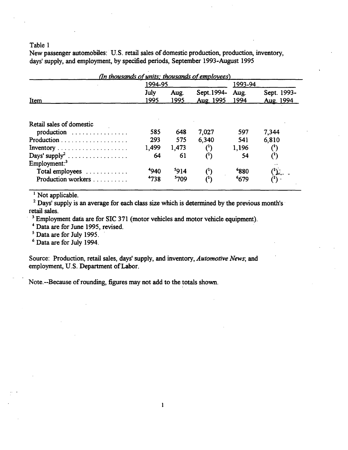New passenger automobiles: U.S. retail sales of domestic production, production, inventory, days' supply, and employment, by specified periods, September 1993-August 1995

| (In thousands of units; thousands of employees)                   |              |                          |                                 |                         |                          |  |  |  |
|-------------------------------------------------------------------|--------------|--------------------------|---------------------------------|-------------------------|--------------------------|--|--|--|
|                                                                   | 1994-95      |                          |                                 | 1993-94                 |                          |  |  |  |
| Item                                                              | July<br>1995 | Aug.<br>1995             | Sept. 1994-<br><u>Aug. 1995</u> | Aug.<br>1994            | Sept. 1993-<br>Aug. 1994 |  |  |  |
| Retail sales of domestic                                          | 585          | 648                      | 7,027                           | 597                     | 7,344                    |  |  |  |
|                                                                   | 293          | 575                      | 6,340                           | 541                     | 6,810                    |  |  |  |
| Days' supply <sup>2</sup>                                         | 1,499<br>64  | 1,473<br>61              | $^{\text{}}$ ( $^{\text{}}$ )   | 1,196<br>54             | $^{\prime}$<br>$(^{1})$  |  |  |  |
| Employment. <sup>3</sup><br>Total employees<br>Production workers | 4940<br>4738 | 5914<br><sup>5</sup> 709 | $\binom{1}{2}$<br>71            | <sup>6</sup> 880<br>679 |                          |  |  |  |
|                                                                   |              |                          |                                 |                         |                          |  |  |  |

 $\frac{1}{1}$  Not applicable.

<sup>2</sup> Days' supply is an average for each class size which is determined by the previous month's retail sales.

 $\mathbf{1}$ 

<sup>3</sup> Employment data are for SIC 371 (motor vehicles and motor vehicle equipment).

4 Data are for June 1995, revised.

<sup>5</sup> Data are for July 1995.

6 Data are for July 1994.

Source: Production, retail sales, days' supply, and inventory, *Automotive News;* and employment, U.S. Department of Labor.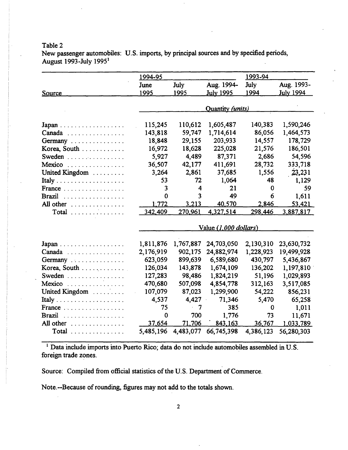,. !

New passenger automobiles: U.S. imports, by principal sources and by specified periods, August 1993-July 1995<sup>1</sup>

|                                        | 1994-95   |                         |                       | 1993-94   |                  |
|----------------------------------------|-----------|-------------------------|-----------------------|-----------|------------------|
|                                        | June      | July                    | Aug. 1994-            | July      | Aug. 1993-       |
| <b>Source</b>                          | 1995      | 1995                    | <b>July 1995</b>      | 1994      | <b>July 1994</b> |
|                                        |           |                         |                       |           |                  |
|                                        |           |                         | Quantity (units)      |           |                  |
|                                        |           |                         |                       |           |                  |
| Japan                                  | 115,245   | 110,612                 | 1,605,487             | 140,383   | 1,590,246        |
| $Canada \dots \dots \dots \dots \dots$ | 143,818   | 59,747                  | 1,714,614             | 86,056    | 1,464,573        |
| Germany                                | 18,848    | 29,155                  | 203,933               | 14,557    | 178,729          |
| Korea, South                           | 16,972    | 18,628                  | 225,028               | 21,576    | 186,501          |
| Sweden                                 | 5,927     | 4,489                   | 87,371                | 2,686     | 54,596           |
| $Mexico$                               | 36,507    | 42,177                  | 411,691               | 28,732    | 333,718          |
| United Kingdom                         | 3,264     | 2,861                   | 37,685                | 1,556     | 23,231           |
|                                        | 53        | 72                      | 1,064                 | 48        | 1,129            |
| France                                 | 3         | $\overline{\mathbf{4}}$ | 21                    | $\bf{0}$  | 59               |
| <b>Brazil</b><br>.                     | $\bf{0}$  | 3                       | 49                    | 6         | 1,611            |
| All other                              | 1,772     | 3.213                   | 40,570                | 2,846     | 53,421           |
| Total                                  | 342,409   | 270,961                 | 4,327,514             | 298,446   | 3,887,817        |
|                                        |           |                         |                       |           |                  |
|                                        |           |                         | Value (1,000 dollars) |           |                  |
| Japan                                  | 1,811,876 | 1,767,887               | 24,703,050            | 2,130,310 | 23,630,732       |
|                                        | 2,176,919 | 902,175                 | 24,882,974            | 1,228,923 | 19,499,928       |
| Germany                                | 623,059   | 899,639                 | 6,589,680             | 430,797   | 5,436,867        |
| Korea, South $\dots \dots \dots$       | 126,034   | 143,878                 | 1,674,109             | 136,202   | 1,197,810        |
| Sweden                                 | 127,283   | 98,486                  | 1,824,219             | 51,196    | 1,029,893        |
| Mexico                                 | 470,680   | 507,098                 | 4,854,778             | 312,163   | 3,517,085        |
| United Kingdom                         | 107,079   | 87,023                  | 1,299,900             | 54,222    | 856,231          |
|                                        | 4,537     | 4,427                   | 71,346                | 5,470     | 65,258           |
| France                                 | 75        | 7<br>¥,                 | 385                   | $\bf{0}$  | 1,011            |
| <b>Brazil</b><br>.                     | $\bf{0}$  | 700                     | 1,776                 | 73        | 11,671           |
| All other                              | 37,654    | 71,706                  | 843,163               | 36,767    | 1,033,789        |
| $Total$                                | 5,485,196 | 4,483,077               | 66,745,398            | 4,386,123 | 56,280,303       |

<sup>1</sup> Data include imports into Puerto Rico; data do not include automobiles assembled in U.S. foreign trade zones.

Source: Compiled from official statistics of the U.S. Department of Commerce.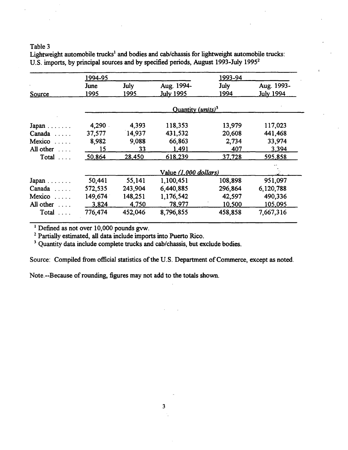Lightweight automobile  $\text{trucks}^1$  and bodies and cab/chassis for lightweight automobile trucks: U.S. imports, by principal sources and by specified periods, August 1993-July 1995<sup>2</sup>

|                     | 1994-95 |         |                       | 1993-94 |            |  |
|---------------------|---------|---------|-----------------------|---------|------------|--|
|                     | June    | July    | Aug. 1994-            | July    | Aug. 1993- |  |
| <b>Source</b>       | 1995    | 1995    | July 1995             | 1994    | July 1994  |  |
|                     |         |         |                       |         |            |  |
|                     |         |         | Quantity $(units)^3$  |         |            |  |
| Japan               | 4,290   | 4,393   | 118,353               | 13,979  | 117,023    |  |
| Canada              | 37,577  | 14,937  | 431,532               | 20,608  | 441,468    |  |
| $Mexico$            | 8,982   | 9,088   | 66,863                | 2,734   | 33,974     |  |
| All other           | 15      | 33      | 1,491                 | 407     | 3,394      |  |
| Total               | 50,864  | 28,450  | 618,239               | 37,728  | 595,858    |  |
|                     |         |         |                       |         |            |  |
|                     |         |         | Value (1,000 dollars) |         |            |  |
| Japan               | 50,441  | 55,141  | 1,100,451             | 108,898 | 951,097    |  |
| $Canada \dots$      | 572,535 | 243,904 | 6,440,885             | 296,864 | 6,120,788  |  |
| $Mexico$            | 149,674 | 148,251 | 1,176,542             | 42,597  | 490,336    |  |
| All other           | 3,824   | 4,750   | 78,977                | 10,500  | 105,095    |  |
| Total<br>$\ldots$ . | 776,474 | 452,046 | 8,796,855             | 458,858 | 7,667,316  |  |

<sup>1</sup> Defined as not over 10,000 pounds gvw.

<sup>2</sup> Partially estimated, all data include imports into Puerto Rico.

<sup>3</sup> Quantity data include complete trucks and cab/chassis, but exclude bodies.

Source: Compiled from official statistics of the U.S. Department of Commerce, except as noted.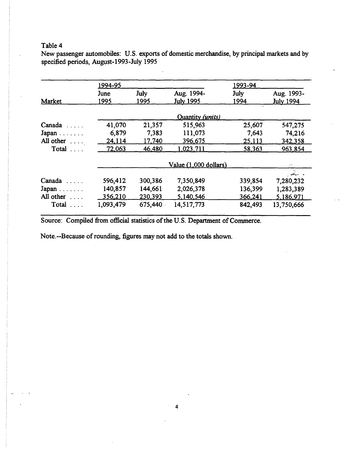New passenger automobiles: U.S. exports of domestic merchandise, by principal markets and by specified periods, August-1993-July 1995

|                     | 1994-95   |         |                         | 1993-94 |                  |
|---------------------|-----------|---------|-------------------------|---------|------------------|
|                     | June      | July    | Aug. 1994-              | July    | Aug. 1993-       |
| Market              | 1995      | 1995    | <b>July 1995</b>        | 1994    | <b>July 1994</b> |
|                     |           |         | <b>Quantity (units)</b> |         |                  |
| Canada              | 41,070    | 21,357  | 515,963                 | 25,607  | 547,275          |
|                     |           |         |                         |         |                  |
| Japan               | 6,879     | 7,383   | 111,073                 | 7,643   | 74,216           |
| All other $\dots$   | 24,114    | 17,740  | 396,675                 | 25,113  | 342,358          |
| Total               | 72,063    | 46,480  | 1,023,711               | 58,363  | 963,854          |
|                     |           |         | Value (1,000 dollars)   |         |                  |
|                     |           |         |                         |         | لدا المائك       |
| Canada              | 596,412   | 300,386 | 7,350,849               | 339,854 | 7,280,232        |
| $Japan \dots \dots$ | 140,857   | 144,661 | 2,026,378               | 136,399 | 1,283,389        |
| All other           | 356,210   | 230,393 | 5,140,546               | 366,241 | 5,186,971        |
| Total $\ldots$      | 1,093,479 | 675,440 | 14,517,773              | 842,493 | 13,750,666       |

Source: Compiled from official statistics of the U.S. Department of Commerce.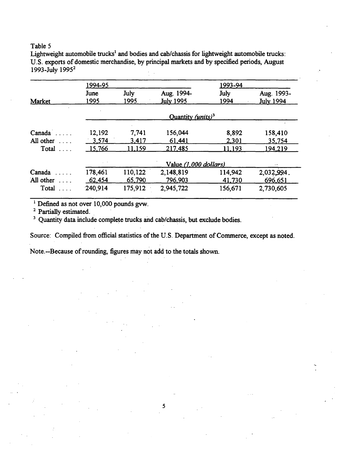Lightweight automobile trucks<sup>1</sup> and bodies and cab/chassis for lightweight automobile trucks: U.S. exports of domestic merchandise, by principal markets and by specified periods, August 1993-July 1995<sup>2</sup>

|                    | 1994-95      |              |                                | 1993-94             |                                |
|--------------------|--------------|--------------|--------------------------------|---------------------|--------------------------------|
| Market             | June<br>1995 | July<br>1995 | Aug. 1994-<br><b>July 1995</b> | <b>July</b><br>1994 | Aug. 1993-<br><b>July</b> 1994 |
|                    |              |              | Quantity (units) <sup>3</sup>  |                     |                                |
| $Canada \dots$     | 12,192       | 7,741        | 156,044                        | 8,892               | 158,410                        |
| All other $\ldots$ | 3.574        | 3,417        | 61,441                         | 2,301               | 35,754                         |
| Total $\ldots$     | 15,766       | 11,159       | 217,485                        | 11,193              | 194,219                        |
|                    |              |              | Value (1,000 dollars)          |                     | - -                            |
| Canada             | 178,461      | 110,122      | 2,148,819                      | 114,942             | 2,032,994.                     |
| All other          | 62,454       | 65,790       | 796,903                        | 41,730              | 696,651                        |
| Total              | 240,914      | 175,912      | 2,945,722                      | 156,671             | 2,730,605                      |

<sup>1</sup> Defined as not over 10,000 pounds gvw.

<sup>2</sup> Partially estimated.

<sup>3</sup> Quantity data include complete trucks and cab/chassis, but exclude bodies.

Source: Compiled from official statistics of the U.S. Department of Commerce, except as noted.

5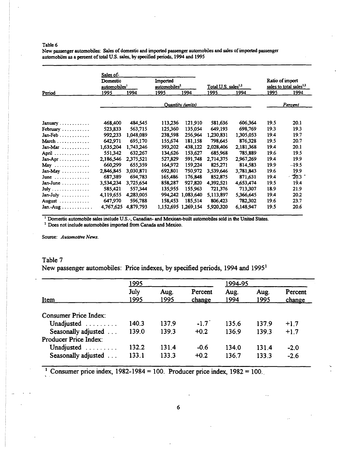New passenger automobiles: Sales of domestic and imported passenger automobiles and sales of imported passenger automobiles as a percent of total U.S. sales, by specified periods, 1994 and 1995

|                                            | Sales of-                            |                    |                                      |                    |                                 |                    |                                                        |              |
|--------------------------------------------|--------------------------------------|--------------------|--------------------------------------|--------------------|---------------------------------|--------------------|--------------------------------------------------------|--------------|
|                                            | Domestic<br>automobiles <sup>1</sup> |                    | Imported<br>automobiles <sup>2</sup> |                    | Total U.S. sales <sup>1.2</sup> |                    | Ratio of import<br>sales to total sales <sup>1,2</sup> |              |
| Period                                     | 1995                                 | 1994               | 1995                                 | 1994               | 1995                            | 1994               | 1995                                                   | 1994         |
|                                            |                                      |                    |                                      |                    |                                 | Percent            |                                                        |              |
|                                            |                                      |                    |                                      |                    |                                 |                    |                                                        |              |
| $January \dots \dots \dots$                | 468,400<br>523,833                   | 484,545<br>563,715 | 113,236<br>125,360                   | 121,910<br>135,054 | 581,636<br>649,193              | 606.364<br>698,769 | 19.5<br>19.3                                           | 20.1<br>19.3 |
| February<br>$Jan-Feb$                      | 992.233                              | 1,048,089          | 238,598                              | 256,964            | 1.230,831                       | 1.305.053          | 19.4                                                   | 19.7         |
| March                                      | 642.971                              | 695,170            | 155,674                              | 181,158            | 798,645                         | 876.328            | 19.5                                                   | 20.7         |
| $Jan-Mar$                                  | 1,635,204                            | 1,743,246          | 393.202                              | 438,122            | 2,028,406                       | 2,181,368          | 19.4                                                   | 20.1         |
|                                            | 551.342                              | 632.267            | 134,626                              | 153,627            | 685,968                         | 785,889            | 19.6                                                   | 19.5         |
| April                                      |                                      |                    | 527,829                              | 591,748            | 2.714.375                       | 2,967,269          | 19.4                                                   | 19.9         |
| $Jan-Apr$                                  | 2,186,546                            | 2,375,521          |                                      |                    |                                 |                    | 19.9                                                   |              |
| $\text{May} \dots \dots \dots \dots \dots$ | 660,299                              | 655,359            | 164.972                              | 159,224            | 825.271                         | 814,583            |                                                        | $-19.5$      |
| $Jan-May$                                  | 2,846,845                            | 3,030,871          | 692,801                              | 750.972            | 3,539,646                       | 3,781,843          | 19.6                                                   | 19.9         |
| June $\ldots \ldots \ldots \ldots$         | 687.389                              | 694,783            | 165,486                              | 176,848            | 852,875                         | 871,631            | 19.4                                                   | $-20.3$      |
| $Jan-June$                                 | 3,534,234                            | 3,725,654          | 858,287                              | 927,820            | 4.392.521                       | 4,653,474          | 19.5                                                   | 19.4         |
| July                                       | 585,421                              | 557.344            | 135.955                              | 155.963            | 721.376                         | 713,307            | 18.9                                                   | 21.9         |
| $Jan-July$                                 | 4,119,655                            | 4,283,005          | 994.242                              | 1,083,640          | 5,113,897                       | 5.366,645          | 19.4                                                   | 20.2         |
| August                                     | 647,970                              | 596,788            | 158,453                              | 185,514            | 806,423                         | 782,302            | 19.6                                                   | 23.7         |
| $Jan.-Aug \ldots \ldots \ldots$            | 4,767,625                            | 4,879,793          | 1,152,695                            | 1,269,154          | 5,920,320                       | 6,148,947          | 19.5                                                   | 20.6         |

<sup>1</sup> Domestic automobile sales include U.S.-, Canadian- and Mexican-built automobiles sold in the United States.<br><sup>2</sup> Does not include automobiles imported from Canada and Mexico.

Source: *Automotive News.* 

#### Table 7

New passenger automobiles: Price indexes, by specified periods, 1994 and 1995<sup>1</sup>

|                              | <u> 1995 </u> |              |                   | 1994-95      |              |                   |
|------------------------------|---------------|--------------|-------------------|--------------|--------------|-------------------|
| Item                         | July<br>1995  | Aug.<br>1995 | Percent<br>change | Aug.<br>1994 | Aug.<br>1995 | Percent<br>change |
| <b>Consumer Price Index:</b> |               |              |                   |              |              |                   |
|                              |               |              | $-1.7$            |              |              |                   |
| Unadjusted                   | 140.3         | 137.9        |                   | 135.6        | 137.9        | $+1.7$            |
| Seasonally adjusted          | 139.0         | 139.3        | $+0.2$            | 136.9        | 139.3        | $+1.7$            |
| Producer Price Index:        |               |              |                   |              |              |                   |
| Unadjusted                   | 132.2         | 131.4        | $-0.6$            | 134.0        | 131.4        | $-2.0$            |
| Seasonally adjusted          | 133.1         | 133.3        | $+0.2$            | 136.7        | 133.3        | $-2.6$            |

 $\frac{1}{1}$  Consumer price index, 1982-1984 = 100. Producer price index, 1982 = 100.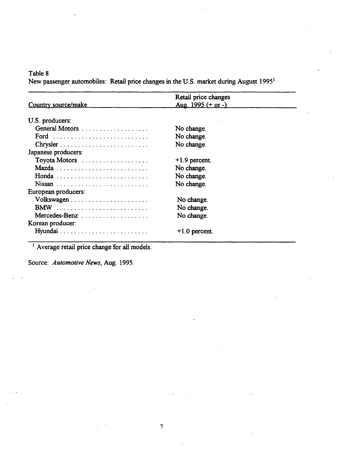New passenger automobiles: Retail price changes in the U.S. market during August 1995<sup>1</sup>

|                     | Retail price changes      |  |
|---------------------|---------------------------|--|
| Country source/make | <u>Aug. 1995 (+ or -)</u> |  |
| U.S. producers:     |                           |  |
|                     |                           |  |
| General Motors      | No change.                |  |
|                     | No change.                |  |
|                     | No change.                |  |
| Japanese producers: |                           |  |
| Toyota Motors       | $+1.9$ percent.           |  |
|                     | No change.                |  |
|                     | No change.                |  |
|                     | No change.                |  |
| European producers: |                           |  |
|                     | No change.                |  |
|                     | No change.                |  |
|                     | No change.                |  |
| Korean producer:    |                           |  |
|                     | $+1.0$ percent.           |  |

7

<sup>1</sup> Average retail price change for all models.

Source: *Automotive News,* Aug. 1995.